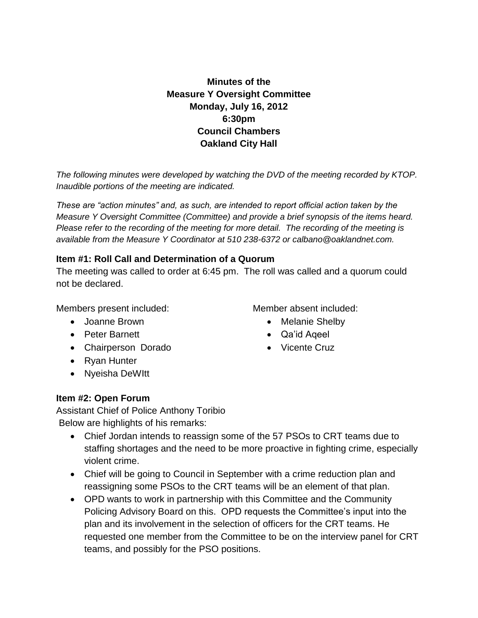# **Minutes of the Measure Y Oversight Committee Monday, July 16, 2012 6:30pm Council Chambers Oakland City Hall**

*The following minutes were developed by watching the DVD of the meeting recorded by KTOP. Inaudible portions of the meeting are indicated.* 

*These are "action minutes" and, as such, are intended to report official action taken by the Measure Y Oversight Committee (Committee) and provide a brief synopsis of the items heard. Please refer to the recording of the meeting for more detail. The recording of the meeting is available from the Measure Y Coordinator at 510 238-6372 or calbano@oaklandnet.com.*

#### **Item #1: Roll Call and Determination of a Quorum**

The meeting was called to order at 6:45 pm. The roll was called and a quorum could not be declared.

Members present included:

- Joanne Brown
- Peter Barnett
- Chairperson Dorado
- Ryan Hunter
- Nyeisha DeWItt

## **Item #2: Open Forum**

Assistant Chief of Police Anthony Toribio Below are highlights of his remarks:

- Chief Jordan intends to reassign some of the 57 PSOs to CRT teams due to staffing shortages and the need to be more proactive in fighting crime, especially violent crime.
- Chief will be going to Council in September with a crime reduction plan and reassigning some PSOs to the CRT teams will be an element of that plan.
- OPD wants to work in partnership with this Committee and the Community Policing Advisory Board on this. OPD requests the Committee's input into the plan and its involvement in the selection of officers for the CRT teams. He requested one member from the Committee to be on the interview panel for CRT teams, and possibly for the PSO positions.

Member absent included:

- Melanie Shelby
- Qa'id Aqeel
- Vicente Cruz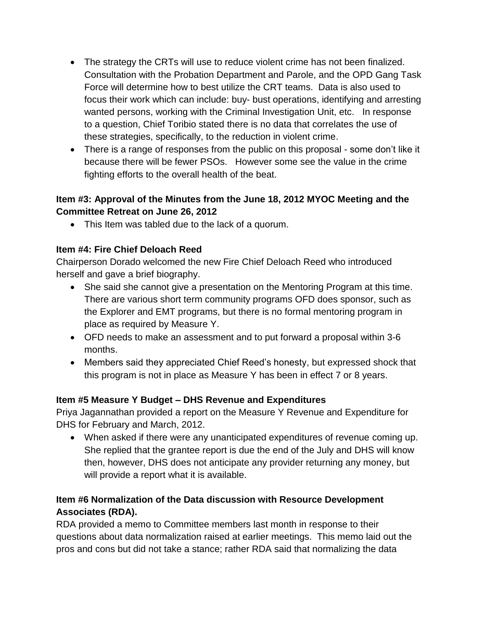- The strategy the CRTs will use to reduce violent crime has not been finalized. Consultation with the Probation Department and Parole, and the OPD Gang Task Force will determine how to best utilize the CRT teams. Data is also used to focus their work which can include: buy- bust operations, identifying and arresting wanted persons, working with the Criminal Investigation Unit, etc. In response to a question, Chief Toribio stated there is no data that correlates the use of these strategies, specifically, to the reduction in violent crime.
- There is a range of responses from the public on this proposal some don't like it because there will be fewer PSOs. However some see the value in the crime fighting efforts to the overall health of the beat.

### **Item #3: Approval of the Minutes from the June 18, 2012 MYOC Meeting and the Committee Retreat on June 26, 2012**

This Item was tabled due to the lack of a quorum.

#### **Item #4: Fire Chief Deloach Reed**

Chairperson Dorado welcomed the new Fire Chief Deloach Reed who introduced herself and gave a brief biography.

- She said she cannot give a presentation on the Mentoring Program at this time. There are various short term community programs OFD does sponsor, such as the Explorer and EMT programs, but there is no formal mentoring program in place as required by Measure Y.
- OFD needs to make an assessment and to put forward a proposal within 3-6 months.
- Members said they appreciated Chief Reed's honesty, but expressed shock that this program is not in place as Measure Y has been in effect 7 or 8 years.

## **Item #5 Measure Y Budget – DHS Revenue and Expenditures**

Priya Jagannathan provided a report on the Measure Y Revenue and Expenditure for DHS for February and March, 2012.

 When asked if there were any unanticipated expenditures of revenue coming up. She replied that the grantee report is due the end of the July and DHS will know then, however, DHS does not anticipate any provider returning any money, but will provide a report what it is available.

## **Item #6 Normalization of the Data discussion with Resource Development Associates (RDA).**

RDA provided a memo to Committee members last month in response to their questions about data normalization raised at earlier meetings. This memo laid out the pros and cons but did not take a stance; rather RDA said that normalizing the data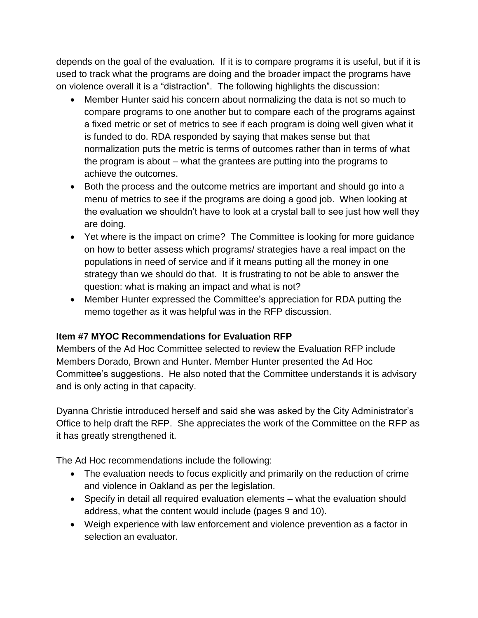depends on the goal of the evaluation. If it is to compare programs it is useful, but if it is used to track what the programs are doing and the broader impact the programs have on violence overall it is a "distraction". The following highlights the discussion:

- Member Hunter said his concern about normalizing the data is not so much to compare programs to one another but to compare each of the programs against a fixed metric or set of metrics to see if each program is doing well given what it is funded to do. RDA responded by saying that makes sense but that normalization puts the metric is terms of outcomes rather than in terms of what the program is about – what the grantees are putting into the programs to achieve the outcomes.
- Both the process and the outcome metrics are important and should go into a menu of metrics to see if the programs are doing a good job. When looking at the evaluation we shouldn't have to look at a crystal ball to see just how well they are doing.
- Yet where is the impact on crime? The Committee is looking for more guidance on how to better assess which programs/ strategies have a real impact on the populations in need of service and if it means putting all the money in one strategy than we should do that. It is frustrating to not be able to answer the question: what is making an impact and what is not?
- Member Hunter expressed the Committee's appreciation for RDA putting the memo together as it was helpful was in the RFP discussion.

## **Item #7 MYOC Recommendations for Evaluation RFP**

Members of the Ad Hoc Committee selected to review the Evaluation RFP include Members Dorado, Brown and Hunter. Member Hunter presented the Ad Hoc Committee's suggestions. He also noted that the Committee understands it is advisory and is only acting in that capacity.

Dyanna Christie introduced herself and said she was asked by the City Administrator's Office to help draft the RFP. She appreciates the work of the Committee on the RFP as it has greatly strengthened it.

The Ad Hoc recommendations include the following:

- The evaluation needs to focus explicitly and primarily on the reduction of crime and violence in Oakland as per the legislation.
- Specify in detail all required evaluation elements what the evaluation should address, what the content would include (pages 9 and 10).
- Weigh experience with law enforcement and violence prevention as a factor in selection an evaluator.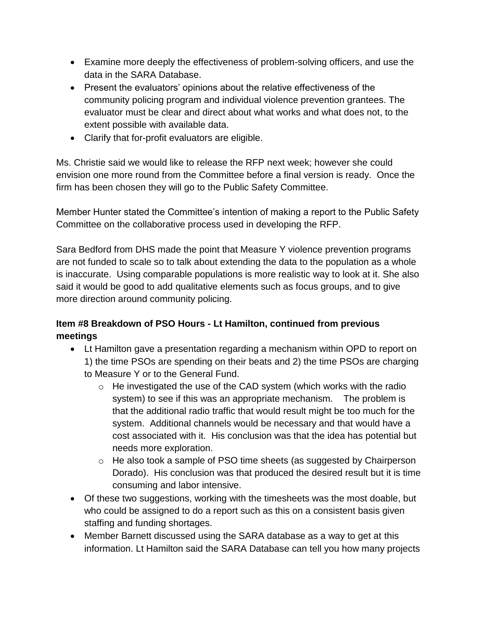- Examine more deeply the effectiveness of problem-solving officers, and use the data in the SARA Database.
- Present the evaluators' opinions about the relative effectiveness of the community policing program and individual violence prevention grantees. The evaluator must be clear and direct about what works and what does not, to the extent possible with available data.
- Clarify that for-profit evaluators are eligible.

Ms. Christie said we would like to release the RFP next week; however she could envision one more round from the Committee before a final version is ready. Once the firm has been chosen they will go to the Public Safety Committee.

Member Hunter stated the Committee's intention of making a report to the Public Safety Committee on the collaborative process used in developing the RFP.

Sara Bedford from DHS made the point that Measure Y violence prevention programs are not funded to scale so to talk about extending the data to the population as a whole is inaccurate. Using comparable populations is more realistic way to look at it. She also said it would be good to add qualitative elements such as focus groups, and to give more direction around community policing.

# **Item #8 Breakdown of PSO Hours - Lt Hamilton, continued from previous meetings**

- Lt Hamilton gave a presentation regarding a mechanism within OPD to report on 1) the time PSOs are spending on their beats and 2) the time PSOs are charging to Measure Y or to the General Fund.
	- $\circ$  He investigated the use of the CAD system (which works with the radio system) to see if this was an appropriate mechanism. The problem is that the additional radio traffic that would result might be too much for the system. Additional channels would be necessary and that would have a cost associated with it. His conclusion was that the idea has potential but needs more exploration.
	- o He also took a sample of PSO time sheets (as suggested by Chairperson Dorado). His conclusion was that produced the desired result but it is time consuming and labor intensive.
- Of these two suggestions, working with the timesheets was the most doable, but who could be assigned to do a report such as this on a consistent basis given staffing and funding shortages.
- Member Barnett discussed using the SARA database as a way to get at this information. Lt Hamilton said the SARA Database can tell you how many projects